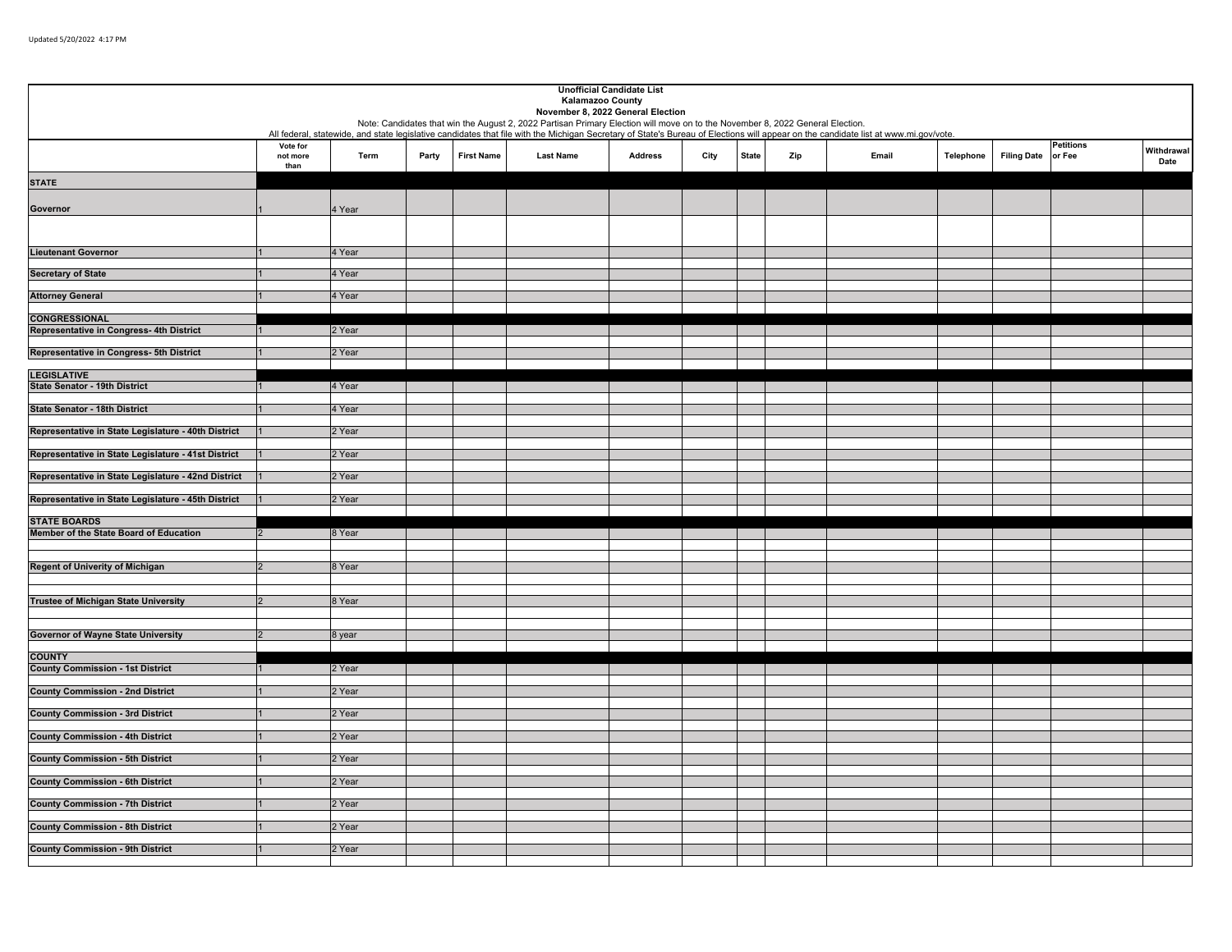|                                                     |          |        |       |                   |                                                                                                                                                                    | <b>Unofficial Candidate List</b> |      |              |     |                                                                                                                                                                                     |           |                    |                  |            |
|-----------------------------------------------------|----------|--------|-------|-------------------|--------------------------------------------------------------------------------------------------------------------------------------------------------------------|----------------------------------|------|--------------|-----|-------------------------------------------------------------------------------------------------------------------------------------------------------------------------------------|-----------|--------------------|------------------|------------|
|                                                     |          |        |       |                   | <b>Kalamazoo County</b>                                                                                                                                            |                                  |      |              |     |                                                                                                                                                                                     |           |                    |                  |            |
|                                                     |          |        |       |                   | November 8, 2022 General Election<br>Note: Candidates that win the August 2, 2022 Partisan Primary Election will move on to the November 8, 2022 General Election. |                                  |      |              |     |                                                                                                                                                                                     |           |                    |                  |            |
|                                                     |          |        |       |                   |                                                                                                                                                                    |                                  |      |              |     | All federal, statewide, and state legislative candidates that file with the Michigan Secretary of State's Bureau of Elections will appear on the candidate list at www.mi.gov/vote. |           |                    |                  |            |
|                                                     | Vote for |        |       |                   |                                                                                                                                                                    |                                  |      |              |     |                                                                                                                                                                                     |           |                    | <b>Petitions</b> | Withdrawal |
|                                                     | not more | Term   | Party | <b>First Name</b> | <b>Last Name</b>                                                                                                                                                   | <b>Address</b>                   | City | <b>State</b> | Zip | Email                                                                                                                                                                               | Telephone | <b>Filing Date</b> | or Fee           | Date       |
|                                                     | than     |        |       |                   |                                                                                                                                                                    |                                  |      |              |     |                                                                                                                                                                                     |           |                    |                  |            |
| <b>STATE</b>                                        |          |        |       |                   |                                                                                                                                                                    |                                  |      |              |     |                                                                                                                                                                                     |           |                    |                  |            |
|                                                     |          |        |       |                   |                                                                                                                                                                    |                                  |      |              |     |                                                                                                                                                                                     |           |                    |                  |            |
| Governor                                            |          | 4 Year |       |                   |                                                                                                                                                                    |                                  |      |              |     |                                                                                                                                                                                     |           |                    |                  |            |
|                                                     |          |        |       |                   |                                                                                                                                                                    |                                  |      |              |     |                                                                                                                                                                                     |           |                    |                  |            |
|                                                     |          |        |       |                   |                                                                                                                                                                    |                                  |      |              |     |                                                                                                                                                                                     |           |                    |                  |            |
| <b>Lieutenant Governor</b>                          |          | 4 Year |       |                   |                                                                                                                                                                    |                                  |      |              |     |                                                                                                                                                                                     |           |                    |                  |            |
|                                                     |          |        |       |                   |                                                                                                                                                                    |                                  |      |              |     |                                                                                                                                                                                     |           |                    |                  |            |
| <b>Secretary of State</b>                           |          | 4 Year |       |                   |                                                                                                                                                                    |                                  |      |              |     |                                                                                                                                                                                     |           |                    |                  |            |
| <b>Attorney General</b>                             |          | 4 Year |       |                   |                                                                                                                                                                    |                                  |      |              |     |                                                                                                                                                                                     |           |                    |                  |            |
|                                                     |          |        |       |                   |                                                                                                                                                                    |                                  |      |              |     |                                                                                                                                                                                     |           |                    |                  |            |
| <b>CONGRESSIONAL</b>                                |          |        |       |                   |                                                                                                                                                                    |                                  |      |              |     |                                                                                                                                                                                     |           |                    |                  |            |
| Representative in Congress- 4th District            |          | 2 Year |       |                   |                                                                                                                                                                    |                                  |      |              |     |                                                                                                                                                                                     |           |                    |                  |            |
| Representative in Congress- 5th District            |          | 2 Year |       |                   |                                                                                                                                                                    |                                  |      |              |     |                                                                                                                                                                                     |           |                    |                  |            |
|                                                     |          |        |       |                   |                                                                                                                                                                    |                                  |      |              |     |                                                                                                                                                                                     |           |                    |                  |            |
| <b>LEGISLATIVE</b>                                  |          |        |       |                   |                                                                                                                                                                    |                                  |      |              |     |                                                                                                                                                                                     |           |                    |                  |            |
| <b>State Senator - 19th District</b>                |          | 4 Year |       |                   |                                                                                                                                                                    |                                  |      |              |     |                                                                                                                                                                                     |           |                    |                  |            |
|                                                     |          |        |       |                   |                                                                                                                                                                    |                                  |      |              |     |                                                                                                                                                                                     |           |                    |                  |            |
| <b>State Senator - 18th District</b>                |          | 4 Year |       |                   |                                                                                                                                                                    |                                  |      |              |     |                                                                                                                                                                                     |           |                    |                  |            |
| Representative in State Legislature - 40th District |          | 2 Year |       |                   |                                                                                                                                                                    |                                  |      |              |     |                                                                                                                                                                                     |           |                    |                  |            |
|                                                     |          |        |       |                   |                                                                                                                                                                    |                                  |      |              |     |                                                                                                                                                                                     |           |                    |                  |            |
| Representative in State Legislature - 41st District |          | 2 Year |       |                   |                                                                                                                                                                    |                                  |      |              |     |                                                                                                                                                                                     |           |                    |                  |            |
|                                                     |          |        |       |                   |                                                                                                                                                                    |                                  |      |              |     |                                                                                                                                                                                     |           |                    |                  |            |
| Representative in State Legislature - 42nd District |          | 2 Year |       |                   |                                                                                                                                                                    |                                  |      |              |     |                                                                                                                                                                                     |           |                    |                  |            |
| Representative in State Legislature - 45th District |          | 2 Year |       |                   |                                                                                                                                                                    |                                  |      |              |     |                                                                                                                                                                                     |           |                    |                  |            |
|                                                     |          |        |       |                   |                                                                                                                                                                    |                                  |      |              |     |                                                                                                                                                                                     |           |                    |                  |            |
| <b>STATE BOARDS</b>                                 |          |        |       |                   |                                                                                                                                                                    |                                  |      |              |     |                                                                                                                                                                                     |           |                    |                  |            |
| Member of the State Board of Education              |          | 8 Year |       |                   |                                                                                                                                                                    |                                  |      |              |     |                                                                                                                                                                                     |           |                    |                  |            |
|                                                     |          |        |       |                   |                                                                                                                                                                    |                                  |      |              |     |                                                                                                                                                                                     |           |                    |                  |            |
| <b>Regent of Univerity of Michigan</b>              |          | 8 Year |       |                   |                                                                                                                                                                    |                                  |      |              |     |                                                                                                                                                                                     |           |                    |                  |            |
|                                                     |          |        |       |                   |                                                                                                                                                                    |                                  |      |              |     |                                                                                                                                                                                     |           |                    |                  |            |
|                                                     |          |        |       |                   |                                                                                                                                                                    |                                  |      |              |     |                                                                                                                                                                                     |           |                    |                  |            |
| <b>Trustee of Michigan State University</b>         |          | 8 Year |       |                   |                                                                                                                                                                    |                                  |      |              |     |                                                                                                                                                                                     |           |                    |                  |            |
|                                                     |          |        |       |                   |                                                                                                                                                                    |                                  |      |              |     |                                                                                                                                                                                     |           |                    |                  |            |
| <b>Governor of Wayne State University</b>           |          | 3 year |       |                   |                                                                                                                                                                    |                                  |      |              |     |                                                                                                                                                                                     |           |                    |                  |            |
|                                                     |          |        |       |                   |                                                                                                                                                                    |                                  |      |              |     |                                                                                                                                                                                     |           |                    |                  |            |
| <b>COUNTY</b>                                       |          |        |       |                   |                                                                                                                                                                    |                                  |      |              |     |                                                                                                                                                                                     |           |                    |                  |            |
| <b>County Commission - 1st District</b>             |          | 2 Year |       |                   |                                                                                                                                                                    |                                  |      |              |     |                                                                                                                                                                                     |           |                    |                  |            |
| <b>County Commission - 2nd District</b>             |          | 2 Year |       |                   |                                                                                                                                                                    |                                  |      |              |     |                                                                                                                                                                                     |           |                    |                  |            |
|                                                     |          |        |       |                   |                                                                                                                                                                    |                                  |      |              |     |                                                                                                                                                                                     |           |                    |                  |            |
| <b>County Commission - 3rd District</b>             |          | 2 Year |       |                   |                                                                                                                                                                    |                                  |      |              |     |                                                                                                                                                                                     |           |                    |                  |            |
|                                                     |          |        |       |                   |                                                                                                                                                                    |                                  |      |              |     |                                                                                                                                                                                     |           |                    |                  |            |
| <b>County Commission - 4th District</b>             |          | 2 Year |       |                   |                                                                                                                                                                    |                                  |      |              |     |                                                                                                                                                                                     |           |                    |                  |            |
| <b>County Commission - 5th District</b>             |          | 2 Year |       |                   |                                                                                                                                                                    |                                  |      |              |     |                                                                                                                                                                                     |           |                    |                  |            |
|                                                     |          |        |       |                   |                                                                                                                                                                    |                                  |      |              |     |                                                                                                                                                                                     |           |                    |                  |            |
| <b>County Commission - 6th District</b>             |          | 2 Year |       |                   |                                                                                                                                                                    |                                  |      |              |     |                                                                                                                                                                                     |           |                    |                  |            |
|                                                     |          |        |       |                   |                                                                                                                                                                    |                                  |      |              |     |                                                                                                                                                                                     |           |                    |                  |            |
| <b>County Commission - 7th District</b>             |          | 2 Year |       |                   |                                                                                                                                                                    |                                  |      |              |     |                                                                                                                                                                                     |           |                    |                  |            |
| <b>County Commission - 8th District</b>             |          | 2 Year |       |                   |                                                                                                                                                                    |                                  |      |              |     |                                                                                                                                                                                     |           |                    |                  |            |
|                                                     |          |        |       |                   |                                                                                                                                                                    |                                  |      |              |     |                                                                                                                                                                                     |           |                    |                  |            |
| <b>County Commission - 9th District</b>             |          | 2 Year |       |                   |                                                                                                                                                                    |                                  |      |              |     |                                                                                                                                                                                     |           |                    |                  |            |
|                                                     |          |        |       |                   |                                                                                                                                                                    |                                  |      |              |     |                                                                                                                                                                                     |           |                    |                  |            |
|                                                     |          |        |       |                   |                                                                                                                                                                    |                                  |      |              |     |                                                                                                                                                                                     |           |                    |                  |            |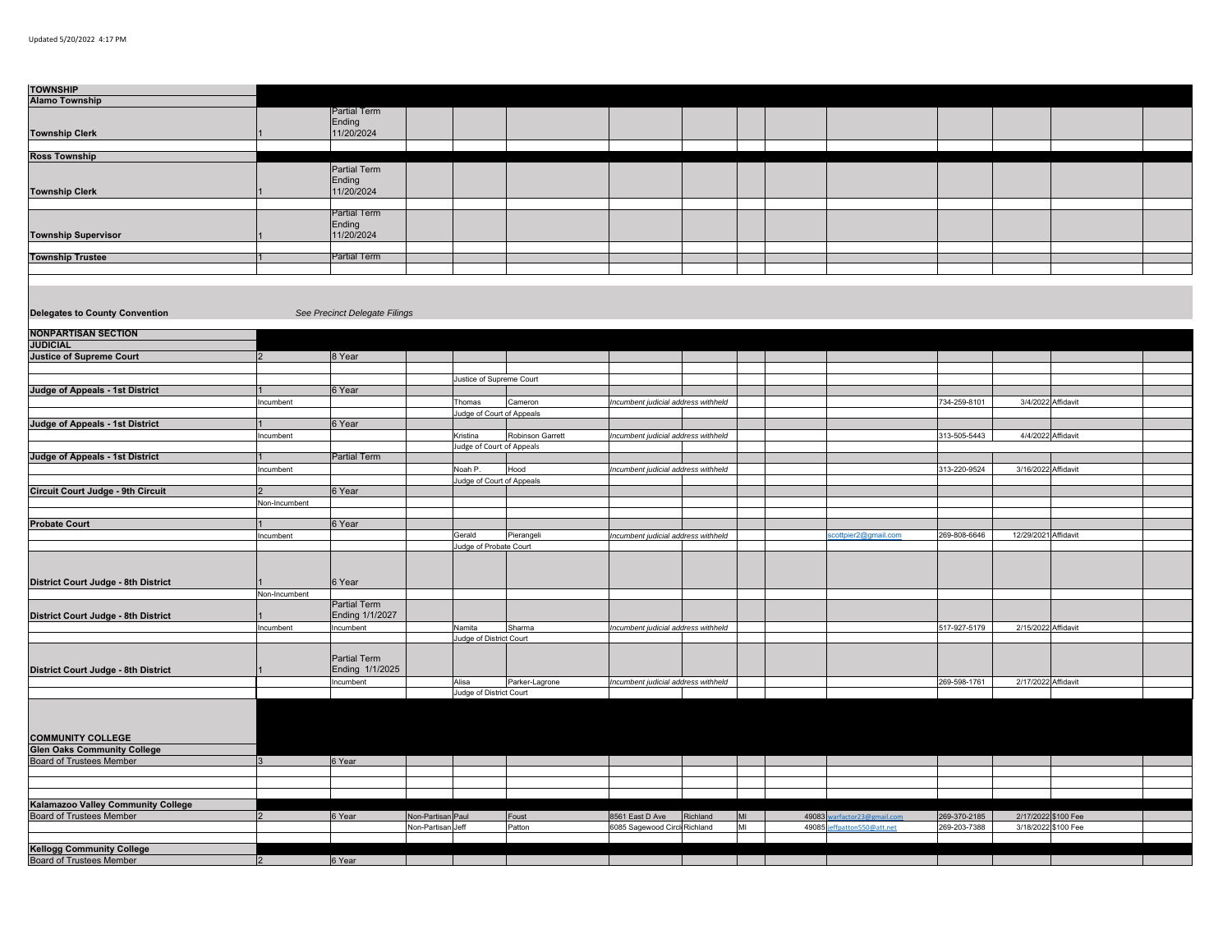| <b>TOWNSHIP</b><br><b>Alamo Township</b>                     |                |                               |                   |                                      |                  |                                     |          |    |       |                             |              |                      |                     |  |
|--------------------------------------------------------------|----------------|-------------------------------|-------------------|--------------------------------------|------------------|-------------------------------------|----------|----|-------|-----------------------------|--------------|----------------------|---------------------|--|
|                                                              |                | Partial Term                  |                   |                                      |                  |                                     |          |    |       |                             |              |                      |                     |  |
|                                                              |                | Ending                        |                   |                                      |                  |                                     |          |    |       |                             |              |                      |                     |  |
| <b>Township Clerk</b>                                        |                | 11/20/2024                    |                   |                                      |                  |                                     |          |    |       |                             |              |                      |                     |  |
|                                                              |                |                               |                   |                                      |                  |                                     |          |    |       |                             |              |                      |                     |  |
| <b>Ross Township</b>                                         |                |                               |                   |                                      |                  |                                     |          |    |       |                             |              |                      |                     |  |
|                                                              |                | Partial Term                  |                   |                                      |                  |                                     |          |    |       |                             |              |                      |                     |  |
|                                                              |                | Ending                        |                   |                                      |                  |                                     |          |    |       |                             |              |                      |                     |  |
| <b>Township Clerk</b>                                        |                | 11/20/2024                    |                   |                                      |                  |                                     |          |    |       |                             |              |                      |                     |  |
|                                                              |                |                               |                   |                                      |                  |                                     |          |    |       |                             |              |                      |                     |  |
|                                                              |                | Partial Term                  |                   |                                      |                  |                                     |          |    |       |                             |              |                      |                     |  |
|                                                              |                | Ending                        |                   |                                      |                  |                                     |          |    |       |                             |              |                      |                     |  |
| <b>Township Supervisor</b>                                   |                | 11/20/2024                    |                   |                                      |                  |                                     |          |    |       |                             |              |                      |                     |  |
| <b>Township Trustee</b>                                      |                | Partial Term                  |                   |                                      |                  |                                     |          |    |       |                             |              |                      |                     |  |
|                                                              |                |                               |                   |                                      |                  |                                     |          |    |       |                             |              |                      |                     |  |
|                                                              |                |                               |                   |                                      |                  |                                     |          |    |       |                             |              |                      |                     |  |
|                                                              |                |                               |                   |                                      |                  |                                     |          |    |       |                             |              |                      |                     |  |
|                                                              |                |                               |                   |                                      |                  |                                     |          |    |       |                             |              |                      |                     |  |
| <b>Delegates to County Convention</b>                        |                | See Precinct Delegate Filings |                   |                                      |                  |                                     |          |    |       |                             |              |                      |                     |  |
|                                                              |                |                               |                   |                                      |                  |                                     |          |    |       |                             |              |                      |                     |  |
| <b>NONPARTISAN SECTION</b>                                   |                |                               |                   |                                      |                  |                                     |          |    |       |                             |              |                      |                     |  |
| <b>JUDICIAL</b>                                              |                |                               |                   |                                      |                  |                                     |          |    |       |                             |              |                      |                     |  |
| <b>Justice of Supreme Court</b>                              | $\overline{2}$ | 8 Year                        |                   |                                      |                  |                                     |          |    |       |                             |              |                      |                     |  |
|                                                              |                |                               |                   |                                      |                  |                                     |          |    |       |                             |              |                      |                     |  |
|                                                              |                |                               |                   | Justice of Supreme Court             |                  |                                     |          |    |       |                             |              |                      |                     |  |
| Judge of Appeals - 1st District                              |                | 6 Year                        |                   |                                      |                  |                                     |          |    |       |                             |              |                      |                     |  |
|                                                              | Incumbent      |                               |                   | Thomas                               | Cameron          | Incumbent judicial address withheld |          |    |       |                             | 734-259-8101 | 3/4/2022 Affidavit   |                     |  |
| Judge of Appeals - 1st District                              |                | Year                          |                   | Judge of Court of Appeals            |                  |                                     |          |    |       |                             |              |                      |                     |  |
|                                                              |                |                               |                   |                                      |                  |                                     |          |    |       |                             |              | 4/4/2022 Affidavit   |                     |  |
|                                                              | Incumbent      |                               |                   | Kristina<br>udge of Court of Appeals | Robinson Garrett | Incumbent judicial address withheld |          |    |       |                             | 313-505-5443 |                      |                     |  |
| <b>Judge of Appeals - 1st District</b>                       |                | Partial Term                  |                   |                                      |                  |                                     |          |    |       |                             |              |                      |                     |  |
|                                                              | Incumbent      |                               |                   | Noah P.                              | Hood             | ncumbent judicial address withheld  |          |    |       |                             | 313-220-9524 | 3/16/2022 Affidavit  |                     |  |
|                                                              |                |                               |                   | Judge of Court of Appeals            |                  |                                     |          |    |       |                             |              |                      |                     |  |
| Circuit Court Judge - 9th Circuit                            |                | 6 Year                        |                   |                                      |                  |                                     |          |    |       |                             |              |                      |                     |  |
|                                                              | Non-Incumbent  |                               |                   |                                      |                  |                                     |          |    |       |                             |              |                      |                     |  |
|                                                              |                |                               |                   |                                      |                  |                                     |          |    |       |                             |              |                      |                     |  |
| <b>Probate Court</b>                                         |                | 6 Year                        |                   |                                      |                  |                                     |          |    |       |                             |              |                      |                     |  |
|                                                              | Incumbent      |                               |                   | Gerald                               | Pierangeli       | Incumbent judicial address withheld |          |    |       | cottpier2@gmail.com         | 269-808-6646 | 12/29/2021 Affidavit |                     |  |
|                                                              |                |                               |                   | Judge of Probate Court               |                  |                                     |          |    |       |                             |              |                      |                     |  |
|                                                              |                |                               |                   |                                      |                  |                                     |          |    |       |                             |              |                      |                     |  |
|                                                              |                |                               |                   |                                      |                  |                                     |          |    |       |                             |              |                      |                     |  |
| District Court Judge - 8th District                          |                | 6 Year                        |                   |                                      |                  |                                     |          |    |       |                             |              |                      |                     |  |
|                                                              | Non-Incumbent  |                               |                   |                                      |                  |                                     |          |    |       |                             |              |                      |                     |  |
|                                                              |                | Partial Term                  |                   |                                      |                  |                                     |          |    |       |                             |              |                      |                     |  |
| District Court Judge - 8th District                          |                | Ending 1/1/2027               |                   |                                      |                  |                                     |          |    |       |                             |              |                      |                     |  |
|                                                              | Incumbent      | Incumbent                     |                   | Namita<br>Judge of District Court    | Sharma           | ncumbent judicial address withheld  |          |    |       |                             | 517-927-5179 | 2/15/2022 Affidavit  |                     |  |
|                                                              |                |                               |                   |                                      |                  |                                     |          |    |       |                             |              |                      |                     |  |
|                                                              |                | Partial Term                  |                   |                                      |                  |                                     |          |    |       |                             |              |                      |                     |  |
| District Court Judge - 8th District                          |                | Ending 1/1/2025               |                   |                                      |                  |                                     |          |    |       |                             |              |                      |                     |  |
|                                                              |                | Incumbent                     |                   | Alisa                                | Parker-Lagrone   | Incumbent judicial address withheld |          |    |       |                             | 269-598-1761 | 2/17/2022 Affidavit  |                     |  |
|                                                              |                |                               |                   | Judge of District Court              |                  |                                     |          |    |       |                             |              |                      |                     |  |
|                                                              |                |                               |                   |                                      |                  |                                     |          |    |       |                             |              |                      |                     |  |
|                                                              |                |                               |                   |                                      |                  |                                     |          |    |       |                             |              |                      |                     |  |
|                                                              |                |                               |                   |                                      |                  |                                     |          |    |       |                             |              |                      |                     |  |
| <b>COMMUNITY COLLEGE</b>                                     |                |                               |                   |                                      |                  |                                     |          |    |       |                             |              |                      |                     |  |
| <b>Glen Oaks Community College</b>                           |                |                               |                   |                                      |                  |                                     |          |    |       |                             |              |                      |                     |  |
| <b>Board of Trustees Member</b>                              | 3 <sup>1</sup> | 6 Year                        |                   |                                      |                  |                                     |          |    |       |                             |              |                      |                     |  |
|                                                              |                |                               |                   |                                      |                  |                                     |          |    |       |                             |              |                      |                     |  |
|                                                              |                |                               |                   |                                      |                  |                                     |          |    |       |                             |              |                      |                     |  |
| Kalamazoo Valley Community College                           |                |                               |                   |                                      |                  |                                     |          |    |       |                             |              |                      |                     |  |
| <b>Board of Trustees Member</b>                              |                | 6 Year                        | Non-Partisan Paul |                                      | Foust            | 8561 East D Ave                     | Richland | MI |       | 49083 warfactor23@gmail.com | 269-370-2185 | 2/17/2022 \$100 Fee  |                     |  |
|                                                              |                |                               | Non-Partisan Jeff |                                      | Patton           | 6085 Sagewood Circl Richland        |          | MI | 49085 | ffpatton550@att.net         | 269-203-7388 |                      | 3/18/2022 \$100 Fee |  |
|                                                              |                |                               |                   |                                      |                  |                                     |          |    |       |                             |              |                      |                     |  |
|                                                              |                |                               |                   |                                      |                  |                                     |          |    |       |                             |              |                      |                     |  |
| <b>Kellogg Community College</b><br>Board of Trustees Member | 2              | 6 Year                        |                   |                                      |                  |                                     |          |    |       |                             |              |                      |                     |  |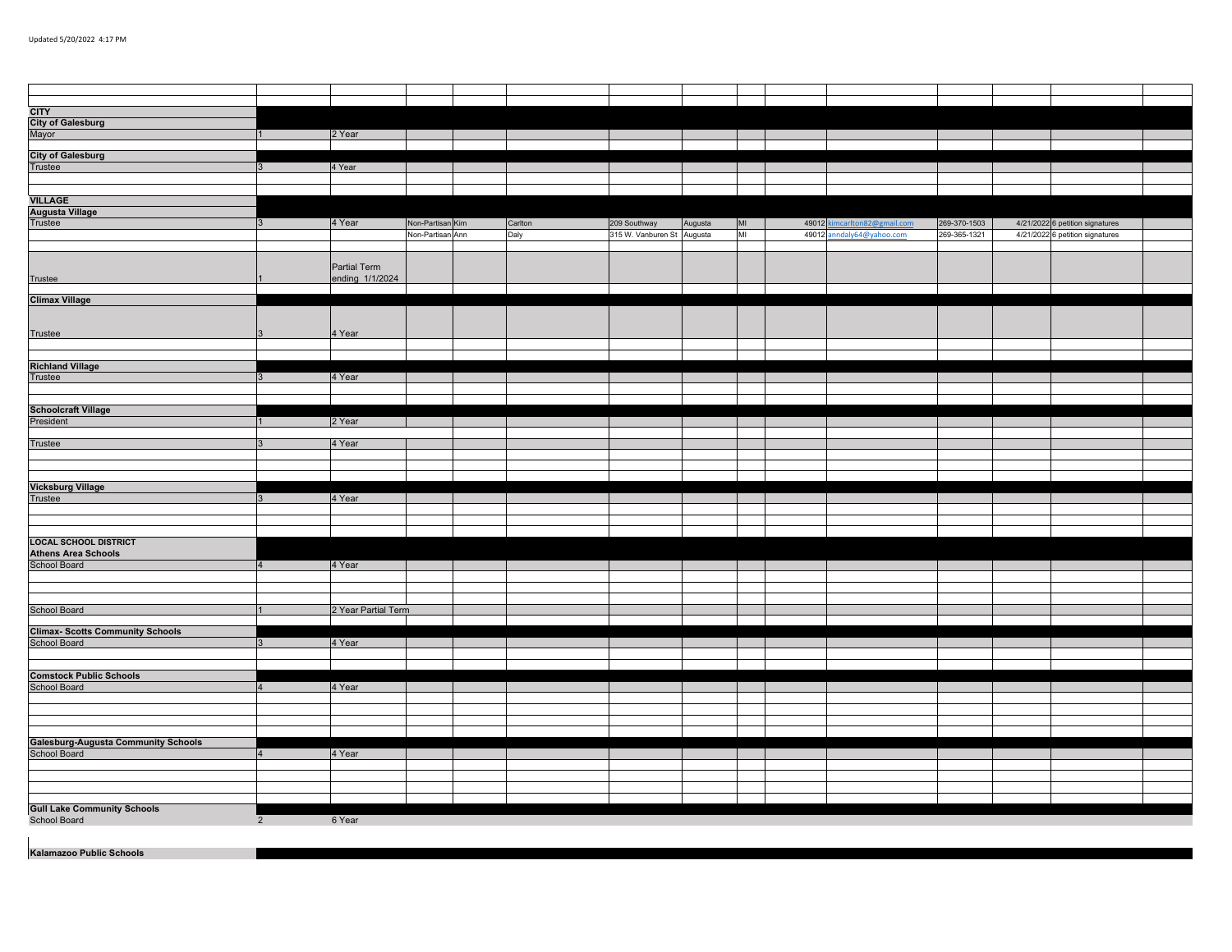| <b>CITY</b><br>City of Galesburg<br>Mayor                    |                 |                     |                  |         |                            |         |    |                              |              |                                 |  |
|--------------------------------------------------------------|-----------------|---------------------|------------------|---------|----------------------------|---------|----|------------------------------|--------------|---------------------------------|--|
|                                                              |                 | 2 Year              |                  |         |                            |         |    |                              |              |                                 |  |
|                                                              |                 |                     |                  |         |                            |         |    |                              |              |                                 |  |
| <b>City of Galesburg</b><br>Trustee                          |                 |                     |                  |         |                            |         |    |                              |              |                                 |  |
|                                                              | 3               | 4 Year              |                  |         |                            |         |    |                              |              |                                 |  |
|                                                              |                 |                     |                  |         |                            |         |    |                              |              |                                 |  |
|                                                              |                 |                     |                  |         |                            |         |    |                              |              |                                 |  |
|                                                              |                 |                     |                  |         |                            |         |    |                              |              |                                 |  |
| <b>VILLAGE</b>                                               |                 |                     |                  |         |                            |         |    |                              |              |                                 |  |
| <b>Augusta Village</b><br>Trustee                            |                 |                     |                  |         |                            |         |    |                              |              |                                 |  |
|                                                              | $\mathbf{3}$    | 4 Year              | Non-Partisan Kim | Carlton | 209 Southway               | Augusta | MI | 49012 kimcarlton82@gmail.com | 269-370-1503 | 4/21/2022 6 petition signatures |  |
|                                                              |                 |                     | Non-Partisan Ann | Daly    | 315 W. Vanburen St Augusta |         | MI | 49012 anndaly64@yahoo.com    | 269-365-1321 | 4/21/2022 6 petition signatures |  |
|                                                              |                 |                     |                  |         |                            |         |    |                              |              |                                 |  |
|                                                              |                 |                     |                  |         |                            |         |    |                              |              |                                 |  |
|                                                              |                 | Partial Term        |                  |         |                            |         |    |                              |              |                                 |  |
| Trustee                                                      |                 | ending 1/1/2024     |                  |         |                            |         |    |                              |              |                                 |  |
|                                                              |                 |                     |                  |         |                            |         |    |                              |              |                                 |  |
| <b>Climax Village</b>                                        |                 |                     |                  |         |                            |         |    |                              |              |                                 |  |
|                                                              |                 |                     |                  |         |                            |         |    |                              |              |                                 |  |
|                                                              |                 |                     |                  |         |                            |         |    |                              |              |                                 |  |
|                                                              |                 |                     |                  |         |                            |         |    |                              |              |                                 |  |
| Trustee                                                      |                 | 4 Year              |                  |         |                            |         |    |                              |              |                                 |  |
|                                                              |                 |                     |                  |         |                            |         |    |                              |              |                                 |  |
|                                                              |                 |                     |                  |         |                            |         |    |                              |              |                                 |  |
| <b>Richland Village</b>                                      |                 |                     |                  |         |                            |         |    |                              |              |                                 |  |
| Trustee                                                      |                 | 4 Year              |                  |         |                            |         |    |                              |              |                                 |  |
|                                                              |                 |                     |                  |         |                            |         |    |                              |              |                                 |  |
|                                                              |                 |                     |                  |         |                            |         |    |                              |              |                                 |  |
| <b>Schoolcraft Village</b>                                   |                 |                     |                  |         |                            |         |    |                              |              |                                 |  |
| President                                                    |                 | 2 Year              |                  |         |                            |         |    |                              |              |                                 |  |
|                                                              |                 |                     |                  |         |                            |         |    |                              |              |                                 |  |
|                                                              |                 |                     |                  |         |                            |         |    |                              |              |                                 |  |
| Trustee                                                      |                 | 4 Year              |                  |         |                            |         |    |                              |              |                                 |  |
|                                                              |                 |                     |                  |         |                            |         |    |                              |              |                                 |  |
|                                                              |                 |                     |                  |         |                            |         |    |                              |              |                                 |  |
|                                                              |                 |                     |                  |         |                            |         |    |                              |              |                                 |  |
| <b>Vicksburg Village</b>                                     |                 |                     |                  |         |                            |         |    |                              |              |                                 |  |
| Trustee                                                      | $\mathbf{R}$    | 4 Year              |                  |         |                            |         |    |                              |              |                                 |  |
|                                                              |                 |                     |                  |         |                            |         |    |                              |              |                                 |  |
|                                                              |                 |                     |                  |         |                            |         |    |                              |              |                                 |  |
|                                                              |                 |                     |                  |         |                            |         |    |                              |              |                                 |  |
| LOCAL SCHOOL DISTRICT<br>Athens Area Schools<br>School Board |                 |                     |                  |         |                            |         |    |                              |              |                                 |  |
|                                                              |                 |                     |                  |         |                            |         |    |                              |              |                                 |  |
|                                                              |                 | 4 Year              |                  |         |                            |         |    |                              |              |                                 |  |
|                                                              | $\vert 4 \vert$ |                     |                  |         |                            |         |    |                              |              |                                 |  |
|                                                              |                 |                     |                  |         |                            |         |    |                              |              |                                 |  |
|                                                              |                 |                     |                  |         |                            |         |    |                              |              |                                 |  |
|                                                              |                 |                     |                  |         |                            |         |    |                              |              |                                 |  |
| School Board                                                 |                 | 2 Year Partial Term |                  |         |                            |         |    |                              |              |                                 |  |
|                                                              |                 |                     |                  |         |                            |         |    |                              |              |                                 |  |
| <b>Climax- Scotts Community Schools</b>                      |                 |                     |                  |         |                            |         |    |                              |              |                                 |  |
| School Board                                                 |                 | 4 Year              |                  |         |                            |         |    |                              |              |                                 |  |
|                                                              |                 |                     |                  |         |                            |         |    |                              |              |                                 |  |
|                                                              |                 |                     |                  |         |                            |         |    |                              |              |                                 |  |
| <b>Comstock Public Schools</b><br>School Board               |                 |                     |                  |         |                            |         |    |                              |              |                                 |  |
|                                                              | $4\overline{ }$ | 4 Year              |                  |         |                            |         |    |                              |              |                                 |  |
|                                                              |                 |                     |                  |         |                            |         |    |                              |              |                                 |  |
|                                                              |                 |                     |                  |         |                            |         |    |                              |              |                                 |  |
|                                                              |                 |                     |                  |         |                            |         |    |                              |              |                                 |  |
|                                                              |                 |                     |                  |         |                            |         |    |                              |              |                                 |  |
|                                                              |                 |                     |                  |         |                            |         |    |                              |              |                                 |  |
| Galesburg-Augusta Community Schools<br>School Board          |                 |                     |                  |         |                            |         |    |                              |              |                                 |  |
|                                                              | $\overline{4}$  | 4 Year              |                  |         |                            |         |    |                              |              |                                 |  |
|                                                              |                 |                     |                  |         |                            |         |    |                              |              |                                 |  |
|                                                              |                 |                     |                  |         |                            |         |    |                              |              |                                 |  |
|                                                              |                 |                     |                  |         |                            |         |    |                              |              |                                 |  |
|                                                              |                 |                     |                  |         |                            |         |    |                              |              |                                 |  |
| <b>Gull Lake Community Schools</b>                           |                 |                     |                  |         |                            |         |    |                              |              |                                 |  |
|                                                              |                 |                     |                  |         |                            |         |    |                              |              |                                 |  |
| School Board                                                 | $\overline{2}$  | 6 Year              |                  |         |                            |         |    |                              |              |                                 |  |
| $\mathbf{I}$                                                 |                 |                     |                  |         |                            |         |    |                              |              |                                 |  |

**Kalamazoo Public Schools**